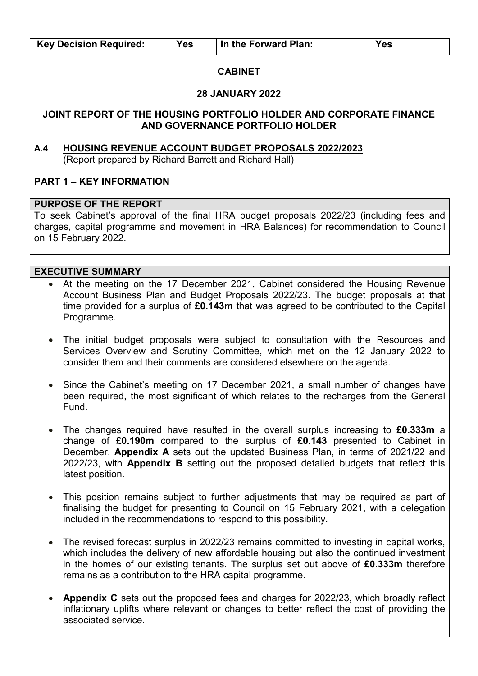#### **CABINET**

#### **28 JANUARY 2022**

#### **JOINT REPORT OF THE HOUSING PORTFOLIO HOLDER AND CORPORATE FINANCE AND GOVERNANCE PORTFOLIO HOLDER**

#### **A.4 HOUSING REVENUE ACCOUNT BUDGET PROPOSALS 2022/2023**  (Report prepared by Richard Barrett and Richard Hall)

#### **PART 1 – KEY INFORMATION**

#### **PURPOSE OF THE REPORT**

To seek Cabinet's approval of the final HRA budget proposals 2022/23 (including fees and charges, capital programme and movement in HRA Balances) for recommendation to Council on 15 February 2022.

# **EXECUTIVE SUMMARY**

- At the meeting on the 17 December 2021, Cabinet considered the Housing Revenue Account Business Plan and Budget Proposals 2022/23. The budget proposals at that time provided for a surplus of **£0.143m** that was agreed to be contributed to the Capital Programme.
- The initial budget proposals were subject to consultation with the Resources and Services Overview and Scrutiny Committee, which met on the 12 January 2022 to consider them and their comments are considered elsewhere on the agenda.
- Since the Cabinet's meeting on 17 December 2021, a small number of changes have been required, the most significant of which relates to the recharges from the General Fund.
- The changes required have resulted in the overall surplus increasing to **£0.333m** a change of **£0.190m** compared to the surplus of **£0.143** presented to Cabinet in December. **Appendix A** sets out the updated Business Plan, in terms of 2021/22 and 2022/23, with **Appendix B** setting out the proposed detailed budgets that reflect this latest position.
- This position remains subject to further adjustments that may be required as part of finalising the budget for presenting to Council on 15 February 2021, with a delegation included in the recommendations to respond to this possibility.
- The revised forecast surplus in 2022/23 remains committed to investing in capital works, which includes the delivery of new affordable housing but also the continued investment in the homes of our existing tenants. The surplus set out above of **£0.333m** therefore remains as a contribution to the HRA capital programme.
- **Appendix C** sets out the proposed fees and charges for 2022/23, which broadly reflect inflationary uplifts where relevant or changes to better reflect the cost of providing the associated service.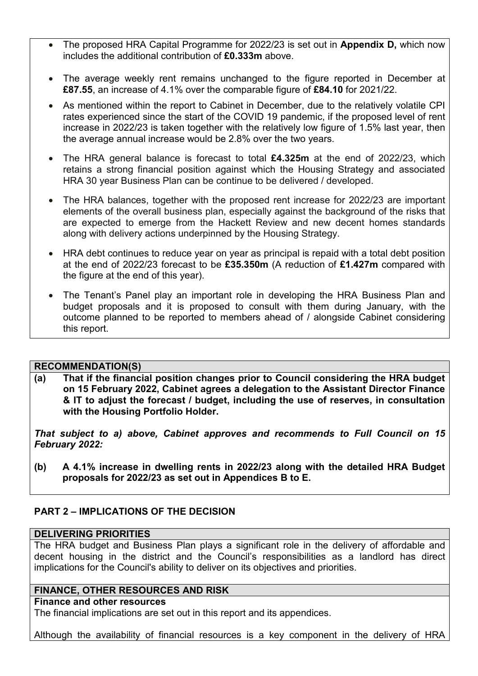- The proposed HRA Capital Programme for 2022/23 is set out in **Appendix D,** which now includes the additional contribution of **£0.333m** above.
- The average weekly rent remains unchanged to the figure reported in December at **£87.55**, an increase of 4.1% over the comparable figure of **£84.10** for 2021/22.
- As mentioned within the report to Cabinet in December, due to the relatively volatile CPI rates experienced since the start of the COVID 19 pandemic, if the proposed level of rent increase in 2022/23 is taken together with the relatively low figure of 1.5% last year, then the average annual increase would be 2.8% over the two years.
- The HRA general balance is forecast to total **£4.325m** at the end of 2022/23, which retains a strong financial position against which the Housing Strategy and associated HRA 30 year Business Plan can be continue to be delivered / developed.
- The HRA balances, together with the proposed rent increase for 2022/23 are important elements of the overall business plan, especially against the background of the risks that are expected to emerge from the Hackett Review and new decent homes standards along with delivery actions underpinned by the Housing Strategy.
- HRA debt continues to reduce year on year as principal is repaid with a total debt position at the end of 2022/23 forecast to be **£35.350m** (A reduction of **£1.427m** compared with the figure at the end of this year).
- The Tenant's Panel play an important role in developing the HRA Business Plan and budget proposals and it is proposed to consult with them during January, with the outcome planned to be reported to members ahead of / alongside Cabinet considering this report.

## **RECOMMENDATION(S)**

**(a) That if the financial position changes prior to Council considering the HRA budget on 15 February 2022, Cabinet agrees a delegation to the Assistant Director Finance & IT to adjust the forecast / budget, including the use of reserves, in consultation with the Housing Portfolio Holder.** 

*That subject to a) above, Cabinet approves and recommends to Full Council on 15 February 2022:* 

**(b) A 4.1% increase in dwelling rents in 2022/23 along with the detailed HRA Budget proposals for 2022/23 as set out in Appendices B to E.** 

# **PART 2 – IMPLICATIONS OF THE DECISION**

## **DELIVERING PRIORITIES**

The HRA budget and Business Plan plays a significant role in the delivery of affordable and decent housing in the district and the Council's responsibilities as a landlord has direct implications for the Council's ability to deliver on its objectives and priorities.

## **FINANCE, OTHER RESOURCES AND RISK**

## **Finance and other resources**

The financial implications are set out in this report and its appendices.

Although the availability of financial resources is a key component in the delivery of HRA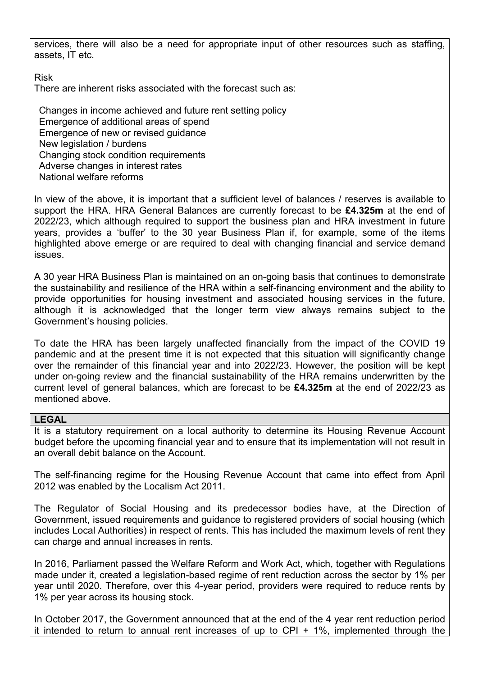services, there will also be a need for appropriate input of other resources such as staffing, assets, IT etc.

Risk

There are inherent risks associated with the forecast such as:

Changes in income achieved and future rent setting policy Emergence of additional areas of spend Emergence of new or revised guidance New legislation / burdens Changing stock condition requirements Adverse changes in interest rates National welfare reforms

In view of the above, it is important that a sufficient level of balances / reserves is available to support the HRA. HRA General Balances are currently forecast to be **£4.325m** at the end of 2022/23, which although required to support the business plan and HRA investment in future years, provides a 'buffer' to the 30 year Business Plan if, for example, some of the items highlighted above emerge or are required to deal with changing financial and service demand issues.

A 30 year HRA Business Plan is maintained on an on-going basis that continues to demonstrate the sustainability and resilience of the HRA within a self-financing environment and the ability to provide opportunities for housing investment and associated housing services in the future, although it is acknowledged that the longer term view always remains subject to the Government's housing policies.

To date the HRA has been largely unaffected financially from the impact of the COVID 19 pandemic and at the present time it is not expected that this situation will significantly change over the remainder of this financial year and into 2022/23. However, the position will be kept under on-going review and the financial sustainability of the HRA remains underwritten by the current level of general balances, which are forecast to be **£4.325m** at the end of 2022/23 as mentioned above.

## **LEGAL**

It is a statutory requirement on a local authority to determine its Housing Revenue Account budget before the upcoming financial year and to ensure that its implementation will not result in an overall debit balance on the Account.

The self-financing regime for the Housing Revenue Account that came into effect from April 2012 was enabled by the Localism Act 2011.

The Regulator of Social Housing and its predecessor bodies have, at the Direction of Government, issued requirements and guidance to registered providers of social housing (which includes Local Authorities) in respect of rents. This has included the maximum levels of rent they can charge and annual increases in rents.

In 2016, Parliament passed the Welfare Reform and Work Act, which, together with Regulations made under it, created a legislation-based regime of rent reduction across the sector by 1% per year until 2020. Therefore, over this 4-year period, providers were required to reduce rents by 1% per year across its housing stock.

In October 2017, the Government announced that at the end of the 4 year rent reduction period it intended to return to annual rent increases of up to CPI  $+$  1%, implemented through the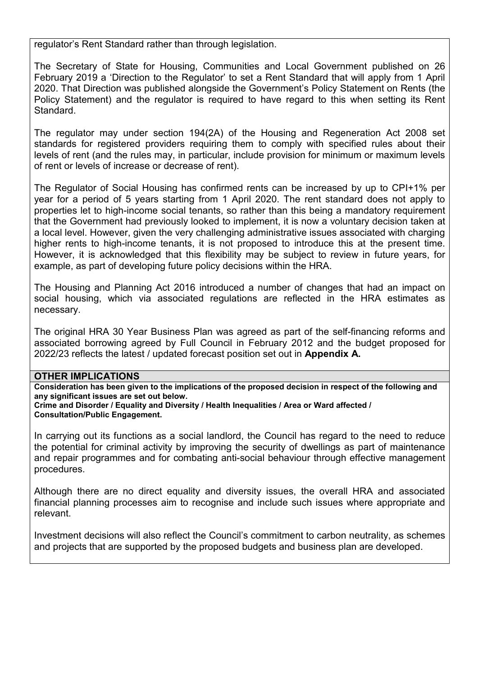regulator's Rent Standard rather than through legislation.

The Secretary of State for Housing, Communities and Local Government published on 26 February 2019 a 'Direction to the Regulator' to set a Rent Standard that will apply from 1 April 2020. That Direction was published alongside the Government's Policy Statement on Rents (the Policy Statement) and the regulator is required to have regard to this when setting its Rent Standard.

The regulator may under section 194(2A) of the Housing and Regeneration Act 2008 set standards for registered providers requiring them to comply with specified rules about their levels of rent (and the rules may, in particular, include provision for minimum or maximum levels of rent or levels of increase or decrease of rent).

The Regulator of Social Housing has confirmed rents can be increased by up to CPI+1% per year for a period of 5 years starting from 1 April 2020. The rent standard does not apply to properties let to high-income social tenants, so rather than this being a mandatory requirement that the Government had previously looked to implement, it is now a voluntary decision taken at a local level. However, given the very challenging administrative issues associated with charging higher rents to high-income tenants, it is not proposed to introduce this at the present time. However, it is acknowledged that this flexibility may be subject to review in future years, for example, as part of developing future policy decisions within the HRA.

The Housing and Planning Act 2016 introduced a number of changes that had an impact on social housing, which via associated regulations are reflected in the HRA estimates as necessary.

The original HRA 30 Year Business Plan was agreed as part of the self-financing reforms and associated borrowing agreed by Full Council in February 2012 and the budget proposed for 2022/23 reflects the latest / updated forecast position set out in **Appendix A.**

#### **OTHER IMPLICATIONS**

**Consideration has been given to the implications of the proposed decision in respect of the following and any significant issues are set out below.** 

**Crime and Disorder / Equality and Diversity / Health Inequalities / Area or Ward affected / Consultation/Public Engagement.** 

In carrying out its functions as a social landlord, the Council has regard to the need to reduce the potential for criminal activity by improving the security of dwellings as part of maintenance and repair programmes and for combating anti-social behaviour through effective management procedures.

Although there are no direct equality and diversity issues, the overall HRA and associated financial planning processes aim to recognise and include such issues where appropriate and relevant.

Investment decisions will also reflect the Council's commitment to carbon neutrality, as schemes and projects that are supported by the proposed budgets and business plan are developed.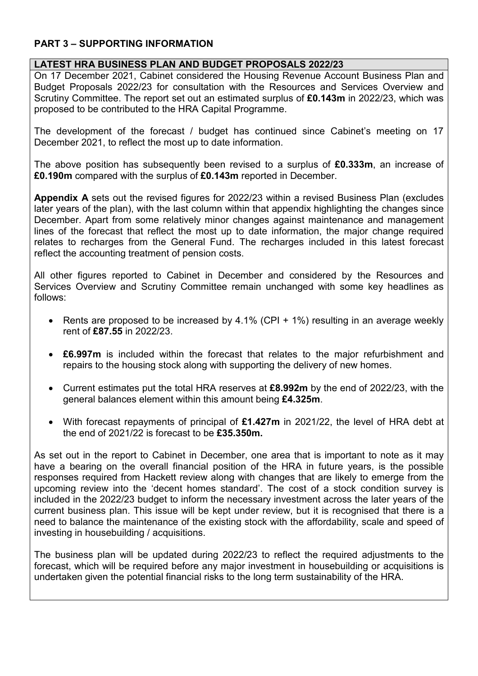# **PART 3 – SUPPORTING INFORMATION**

# **LATEST HRA BUSINESS PLAN AND BUDGET PROPOSALS 2022/23**

On 17 December 2021, Cabinet considered the Housing Revenue Account Business Plan and Budget Proposals 2022/23 for consultation with the Resources and Services Overview and Scrutiny Committee. The report set out an estimated surplus of **£0.143m** in 2022/23, which was proposed to be contributed to the HRA Capital Programme.

The development of the forecast / budget has continued since Cabinet's meeting on 17 December 2021, to reflect the most up to date information.

The above position has subsequently been revised to a surplus of **£0.333m**, an increase of **£0.190m** compared with the surplus of **£0.143m** reported in December.

**Appendix A** sets out the revised figures for 2022/23 within a revised Business Plan (excludes later years of the plan), with the last column within that appendix highlighting the changes since December. Apart from some relatively minor changes against maintenance and management lines of the forecast that reflect the most up to date information, the major change required relates to recharges from the General Fund. The recharges included in this latest forecast reflect the accounting treatment of pension costs.

All other figures reported to Cabinet in December and considered by the Resources and Services Overview and Scrutiny Committee remain unchanged with some key headlines as follows:

- Rents are proposed to be increased by 4.1% (CPI + 1%) resulting in an average weekly rent of **£87.55** in 2022/23.
- **£6.997m** is included within the forecast that relates to the major refurbishment and repairs to the housing stock along with supporting the delivery of new homes.
- Current estimates put the total HRA reserves at **£8.992m** by the end of 2022/23, with the general balances element within this amount being **£4.325m**.
- With forecast repayments of principal of **£1.427m** in 2021/22, the level of HRA debt at the end of 2021/22 is forecast to be **£35.350m.**

As set out in the report to Cabinet in December, one area that is important to note as it may have a bearing on the overall financial position of the HRA in future years, is the possible responses required from Hackett review along with changes that are likely to emerge from the upcoming review into the 'decent homes standard'. The cost of a stock condition survey is included in the 2022/23 budget to inform the necessary investment across the later years of the current business plan. This issue will be kept under review, but it is recognised that there is a need to balance the maintenance of the existing stock with the affordability, scale and speed of investing in housebuilding / acquisitions.

The business plan will be updated during 2022/23 to reflect the required adjustments to the forecast, which will be required before any major investment in housebuilding or acquisitions is undertaken given the potential financial risks to the long term sustainability of the HRA.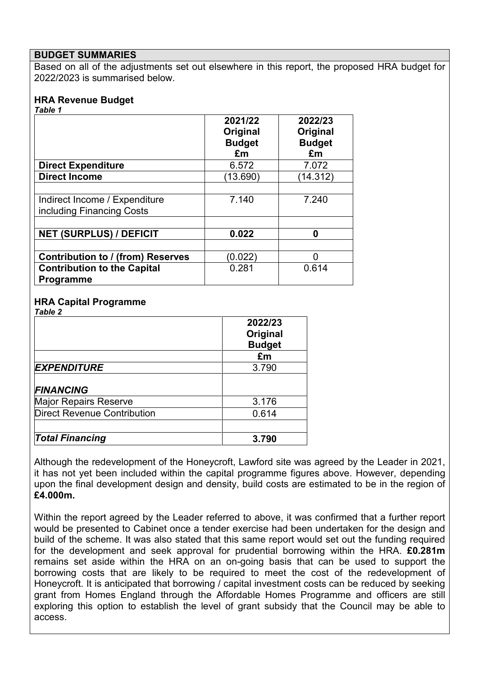#### **BUDGET SUMMARIES**

Based on all of the adjustments set out elsewhere in this report, the proposed HRA budget for 2022/2023 is summarised below.

# **HRA Revenue Budget**

*Table 1* 

|                                                            | 2021/22<br>Original<br><b>Budget</b><br>£m | 2022/23<br>Original<br><b>Budget</b><br>£m |
|------------------------------------------------------------|--------------------------------------------|--------------------------------------------|
| <b>Direct Expenditure</b>                                  | 6.572                                      | 7.072                                      |
| <b>Direct Income</b>                                       | (13.690)                                   | (14.312)                                   |
| Indirect Income / Expenditure<br>including Financing Costs | 7.140                                      | 7.240                                      |
| <b>NET (SURPLUS) / DEFICIT</b>                             | 0.022                                      | 0                                          |
| <b>Contribution to / (from) Reserves</b>                   | (0.022)                                    | n                                          |
| <b>Contribution to the Capital</b><br>Programme            | 0.281                                      | 0.614                                      |

# **HRA Capital Programme**

|                                    | 2022/23<br>Original<br><b>Budget</b> |
|------------------------------------|--------------------------------------|
|                                    | £m                                   |
| <b>EXPENDITURE</b>                 | 3.790                                |
| <b>FINANCING</b>                   |                                      |
| <b>Major Repairs Reserve</b>       | 3.176                                |
| <b>Direct Revenue Contribution</b> | 0.614                                |
| <b>Total Financing</b>             | 3.790                                |

Although the redevelopment of the Honeycroft, Lawford site was agreed by the Leader in 2021, it has not yet been included within the capital programme figures above. However, depending upon the final development design and density, build costs are estimated to be in the region of **£4.000m.**

Within the report agreed by the Leader referred to above, it was confirmed that a further report would be presented to Cabinet once a tender exercise had been undertaken for the design and build of the scheme. It was also stated that this same report would set out the funding required for the development and seek approval for prudential borrowing within the HRA. **£0.281m** remains set aside within the HRA on an on-going basis that can be used to support the borrowing costs that are likely to be required to meet the cost of the redevelopment of Honeycroft. It is anticipated that borrowing / capital investment costs can be reduced by seeking grant from Homes England through the Affordable Homes Programme and officers are still exploring this option to establish the level of grant subsidy that the Council may be able to access.